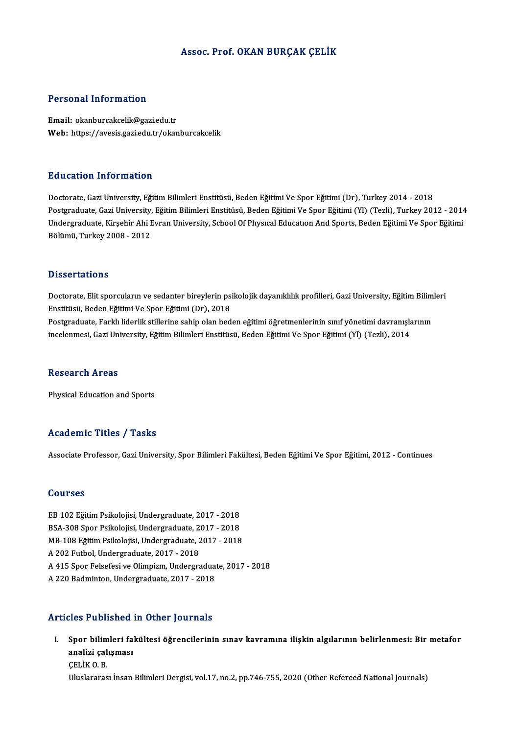#### Assoc. Prof. OKAN BURÇAK ÇELİK

#### Personal Information

Email: okanburcakcelik@gazi.edu.tr Web: https://avesis.gazi.edu.tr/okanburcakcelik

#### Education Information

Doctorate, Gazi University, Eğitim Bilimleri Enstitüsü, Beden Eğitimi Ve Spor Eğitimi (Dr), Turkey 2014 - 2018 Postgraduate, Gazi University, Eğitim Bilimleri Enstitüsü, Beden Eğitimi Ve Spor Eğitimi (Yl) (Tezli), Turkey 2012 - 2014 Doctorate, Gazi University, Eğitim Bilimleri Enstitüsü, Beden Eğitimi Ve Spor Eğitimi (Dr), Turkey 2014 - 2018<br>Postgraduate, Gazi University, Eğitim Bilimleri Enstitüsü, Beden Eğitimi Ve Spor Eğitimi (Yl) (Tezli), Turkey 2 Postgraduate, Gazi University,<br>Undergraduate, Kirşehir Ahi I<br>Bölümü, Turkey 2008 - 2012 Bölümü, Turkey 2008 - 2012<br>Dissertations

Dissertations<br>Doctorate, Elit sporcuların ve sedanter bireylerin psikolojik dayanıklılık profilleri, Gazi University, Eğitim Bilimleri<br>Enstitüsü, Boden Eğitimi Ve Spor Eğitimi (Dr.), 2019 Enstitüsü, Beden Eğitimi Ve Spor Eğitimi (Dr), 2018 Doctorate, Elit sporcuların ve sedanter bireylerin psikolojik dayanıklılık profilleri, Gazi University, Eğitim Bilim<br>Enstitüsü, Beden Eğitimi Ve Spor Eğitimi (Dr), 2018<br>Postgraduate, Farklı liderlik stillerine sahip olan b

Postgraduate, Farklı liderlik stillerine sahip olan beden eğitimi öğretmenlerinin sınıf yönetimi davranışlarının<br>incelenmesi, Gazi University, Eğitim Bilimleri Enstitüsü, Beden Eğitimi Ve Spor Eğitimi (Yl) (Tezli), 2014

#### Research Areas

Physical Education and Sports

#### Academic Titles / Tasks

Associate Professor, Gazi University, Spor Bilimleri Fakültesi, Beden Eğitimi Ve Spor Eğitimi, 2012 - Continues

#### Courses

Courses<br>EB 102 Eğitim Psikolojisi, Undergraduate, 2017 - 2018<br>PSA 209 Spor Bsikolojisi, Undergraduate, 2017 - 2019 SSA-308<br>BB 102 Eğitim Psikolojisi, Undergraduate, 2017 - 2018<br>BSA-308 Spor Psikolojisi, Undergraduate, 2017 - 2018<br>MB 109 Eğitim Beikolojisi, Undergraduate, 2017 - 2018 MB-108 Eğitim Psikolojisi, Undergraduate, 2017 - 2018<br>A 202 Futbol, Undergraduate, 2017 - 2018 BSA-308 Spor Psikolojisi, Undergraduate, 2017 - 2018 MB-108 Eğitim Psikolojisi, Undergraduate, 2017 - 2018<br>A 202 Futbol, Undergraduate, 2017 - 2018<br>A 415 Spor Felsefesi ve Olimpizm, Undergraduate, 2017 - 2018<br>A 220 Pedminton, Undergraduate, 2017 - 2018 A 202 Futbol, Undergraduate, 2017 - 2018<br>A 415 Spor Felsefesi ve Olimpizm, Undergradua<br>A 220 Badminton, Undergraduate, 2017 - 2018 A 220 Badminton, Undergraduate, 2017 - 2018<br>Articles Published in Other Journals

rticles Published in Other Journals<br>I. Spor bilimleri fakültesi öğrencilerinin sınav kavramına ilişkin algılarının belirlenmesi: Bir metafor<br>Analiri selismesi sico i ubilishcu<br>Spor bilimleri fal<br>analizi çalışması<br>CELİKO B Spor bilim<br>analizi çal<br>ÇELİK O.B.<br>Uluslarares <mark>analizi çalışması</mark><br>ÇELİK O. B.<br>Uluslararası İnsan Bilimleri Dergisi, vol.17, no.2, pp.746-755, 2020 (Other Refereed National Journals)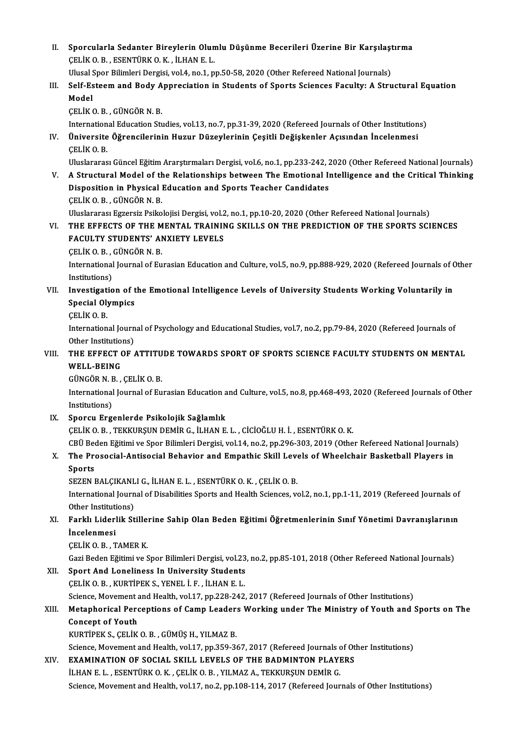II. Sporcularla Sedanter Bireylerin Olumlu Düşünme Becerileri Üzerine Bir Karşılaştırma<br>CELİKO B. ESENTÜRKO K. İLHAN E L Sporcularla Sedanter Bireylerin Olun<br>ÇELİK O.B. , ESENTÜRK O.K. , İLHAN E. L.<br>Ulusel Spor Bilimleri Dergisi vel 4 na 1 n Sporcularla Sedanter Bireylerin Olumlu Düşünme Becerileri Üzerine Bir Karşılaşı<br>ÇELİK O. B. , ESENTÜRK O. K. , İLHAN E. L.<br>Ulusal Spor Bilimleri Dergisi, vol.4, no.1, pp.50-58, 2020 (Other Refereed National Journals)<br>Self CELIK O. B. , ESENTÜRK O. K. , İLHAN E. L.<br>Ulusal Spor Bilimleri Dergisi, vol.4, no.1, pp.50-58, 2020 (Other Refereed National Journals)<br>III. Self-Esteem and Body Appreciation in Students of Sports Sciences Faculty: A Ulusal S<br>Self-Es<br>Model<br>CELiV G Self-Esteem and Body A<br>Model<br>ÇELİK O.B. , GÜNGÖR N.B.<br>International Education St. Model<br>ÇELİK O. B. , GÜNGÖR N. B.<br>International Education Studies, vol.13, no.7, pp.31-39, 2020 (Refereed Journals of Other Institutions)<br>Üniversite Öğrensilerinin Hugur Dügeylerinin Cesitli Değişkenler Asısından İnselenmes CELIK O. B. , GÜNGÖR N. B.<br>International Education Studies, vol.13, no.7, pp.31-39, 2020 (Refereed Journals of Other Institution<br>IV. Üniversite Öğrencilerinin Huzur Düzeylerinin Çeşitli Değişkenler Açısından İncelenmes Internation<br>**Üniversite<br>ÇELİK O. B.**<br>Uluslarares Uluslararası Güncel Eğitim Ararştırmaları Dergisi, vol.6, no.1, pp.233-242, 2020 (Other Refereed National Journals) CELIK O. B.<br>Uluslararası Güncel Eğitim Ararştırmaları Dergisi, vol.6, no.1, pp.233-242, 2020 (Other Refereed National Journals)<br>V. A Structural Model of the Relationships between The Emotional Intelligence and the Criti Uluslararası Güncel Eğitim Ararştırmaları Dergisi, vol.6, no.1, pp.233-242, 2<br>A Structural Model of the Relationships between The Emotional II<br>Disposition in Physical Education and Sports Teacher Candidates<br>CELIKO B. CÜNCÖ A Structural Model of th<br>Disposition in Physical<br>CELİK O.B., GÜNGÖRN.B.<br>Uluelararası Estansiz Baika Disposition in Physical Education and Sports Teacher Candidates<br>ÇELİK O. B. , GÜNGÖR N. B.<br>Uluslararası Egzersiz Psikolojisi Dergisi, vol.2, no.1, pp.10-20, 2020 (Other Refereed National Journals)<br>THE EFFECTS OF THE MENTAL CELIK O. B. , GÜNGÖR N. B.<br>Uluslararası Egzersiz Psikolojisi Dergisi, vol.2, no.1, pp.10-20, 2020 (Other Refereed National Journals)<br>VI. THE EFFECTS OF THE MENTAL TRAINING SKILLS ON THE PREDICTION OF THE SPORTS SCIENCE Uluslararası Egzersiz Psikolojisi Dergisi, vol.2<br>THE EFFECTS OF THE MENTAL TRAININ<br>FACULTY STUDENTS' ANXIETY LEVELS<br>CELIKO BL CÜNCÖR N.B THE EFFECTS OF THE M<br>FACULTY STUDENTS' AI<br>ÇELİK O.B., GÜNGÖR N.B.<br>International Journal of Eu FACULTY STUDENTS' ANXIETY LEVELS<br>CELIK O. B. , GÜNGÖR N. B.<br>International Journal of Eurasian Education and Culture, vol.5, no.9, pp.888-929, 2020 (Refereed Journals of Other<br>Institutions) CELIK O.B., GÜNGÖR N.B. International Journal of Eurasian Education and Culture, vol.5, no.9, pp.888-929, 2020 (Refereed Journals of C<br>Institutions)<br>VII. Investigation of the Emotional Intelligence Levels of University Students Working Voluntaril Institutions)<br>Investigation of t<br>Special Olympics<br>CELIKO P Investigat<br>Special Oly<br>ÇELİK O. B.<br>Internation Special Olympics<br>ÇELİK 0. B.<br>International Journal of Psychology and Educational Studies, vol.7, no.2, pp.79-84, 2020 (Refereed Journals of CELIK O. B.<br>International Journ<br>Other Institutions)<br>THE EFFECT OF International Journal of Psychology and Educational Studies, vol.7, no.2, pp.79-84, 2020 (Refereed Journals of<br>Other Institutions)<br>VIII. THE EFFECT OF ATTITUDE TOWARDS SPORT OF SPORTS SCIENCE FACULTY STUDENTS ON MENTAL<br>WEL Other Institutio<br>THE EFFECT (<br>WELL-BEING<br>CÜNCÖP N.P THE EFFECT OF ATTITU<br>WELL-BEING<br>GÜNGÖR N. B. , ÇELİK O. B.<br>International Journal of Eu WELL-BEING<br>GÜNGÖR N. B. , ÇELİK O. B.<br>International Journal of Eurasian Education and Culture, vol.5, no.8, pp.468-493, 2020 (Refereed Journals of Other GÜNGÖR N. E<br>International<br>Institutions)<br>Snorsu Erg IX. Sporcu Ergenlerde Psikolojik Sağlamlık ÇELİKO.B. ,TEKKURŞUNDEMİRG., İLHANE.L. ,CİCİOĞLUH. İ. ,ESENTÜRKO.K. Sporcu Ergenlerde Psikolojik Sağlamlık<br>ÇELİK O. B. , TEKKURŞUN DEMİR G., İLHAN E. L. , CİCİOĞLU H. İ. , ESENTÜRK O. K.<br>CBÜ Beden Eğitimi ve Spor Bilimleri Dergisi, vol.14, no.2, pp.296-303, 2019 (Other Refereed National Jo CELIK O. B. , TEKKURŞUN DEMIR G., İLHAN E. L. , CİCİOĞLU H. İ. , ESENTÜRK O. K.<br>CBÜ Beden Eğitimi ve Spor Bilimleri Dergisi, vol.14, no.2, pp.296-303, 2019 (Other Refereed National Journals<br>X. The Prosocial-Antisocial CBÜ Bee<br>The Pre<br>Sports<br>SEZEN I X. The Prosocial-Antisocial Behavior and Empathic Skill Levels of Wheelchair Basketball Players in<br>Sports International Journal of Disabilities Sports and Health Sciences, vol.2, no.1, pp.1-11, 2019 (Refereed Journals of Other Institutions) SEZEN BALÇIKANLI G., İLHAN E. L., ESENTÜRK O. K., ÇELİK O. B. International Journal of Disabilities Sports and Health Sciences, vol.2, no.1, pp.1-11, 2019 (Refereed Journals of Other Institutions)<br>XI. Farklı Liderlik Stillerine Sahip Olan Beden Eğitimi Öğretmenlerinin Sınıf Yönetimi Other Instituti<br>Farklı Liderl<br>İncelenmesi<br>CELİKOR Farklı Liderlik Stille:<br>İncelenmesi<br>ÇELİK O.B. , TAMER K.<br>Çeri Beden Eğitimi ve S İncelenmesi<br>ÇELİK O. B. , TAMER K.<br>Gazi Beden Eğitimi ve Spor Bilimleri Dergisi, vol.23, no.2, pp.85-101, 2018 (Other Refereed National Journals) CELIK O. B. , TAMER K.<br>Gazi Beden Eğitimi ve Spor Bilimleri Dergisi, vol.23<br>XII. Sport And Loneliness In University Students<br>CELIK O. B. , KURTIPEK S., YENEL I. F. , ILHAN E. L. Gazi Beden Eğitimi ve Spor Bilimleri Dergisi, vol.23<br>Sport And Loneliness In University Students<br>ÇELİK O.B. , KURTİPEK S., YENEL İ. F. , İLHAN E.L.<br>Science Meyement and Heelth vol.17, np.228,242 Sport And Loneliness In University Students<br>CELIK O. B. , KURTIPEK S., YENEL I. F. , ILHAN E. L.<br>Science, Movement and Health, vol.17, pp.228-242, 2017 (Refereed Journals of Other Institutions)<br>Metaphorical Porcontions of XIII. Metaphorical Perceptions of Camp Leaders Working under The Ministry of Youth and Sports on The<br>Concept of Youth Science, Movement a<br>Metaphorical Perc<br>Concept of Youth<br>VURTIREV S. CELUV KURTİPEKS.,ÇELİKO.B. ,GÜMÜŞH.,YILMAZB. Concept of Youth<br>KURTİPEK S., ÇELİK O. B. , GÜMÜŞ H., YILMAZ B.<br>Science, Movement and Health, vol.17, pp.359-367, 2017 (Refereed Journals of Other Institutions)<br>EXAMINATION OE SOCIAL SKULL LEVELS OE THE RADMINTON BLAVERS. XIV. EXAMINATION OF SOCIAL SKILL LEVELS OF THE BADMINTON PLAYERS<br>ILHAN E. L., ESENTÜRK O. K., CELIK O. B., YILMAZ A., TEKKURSUN DEMIR G. Science, Movement and Health, vol.17, pp.359-367, 2017 (Refereed Journals of EXAMINATION OF SOCIAL SKILL LEVELS OF THE BADMINTON PLAYI<br>İLHAN E. L. , ESENTÜRK O. K. , ÇELİK O. B. , YILMAZ A., TEKKURŞUN DEMİR G.<br>Ssiance Move Science, Movement and Health, vol.17, no.2, pp.108-114, 2017 (Refereed Journals of Other Institutions)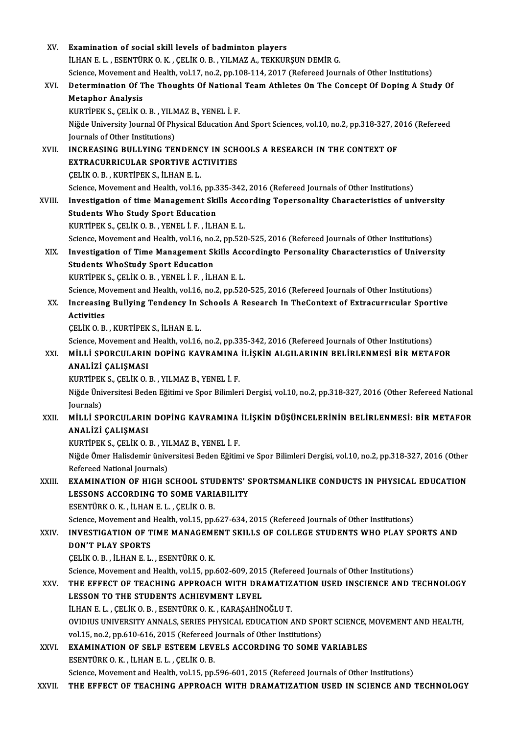| XV.    | Examination of social skill levels of badminton players                                                                                                                               |
|--------|---------------------------------------------------------------------------------------------------------------------------------------------------------------------------------------|
|        | İLHAN E. L., ESENTÜRK O. K., ÇELİK O. B., YILMAZ A., TEKKURŞUN DEMİR G.                                                                                                               |
|        | Science, Movement and Health, vol.17, no.2, pp.108-114, 2017 (Refereed Journals of Other Institutions)                                                                                |
| XVI.   | Determination Of The Thoughts Of National Team Athletes On The Concept Of Doping A Study Of                                                                                           |
|        | <b>Metaphor Analysis</b>                                                                                                                                                              |
|        | KURTİPEK S., ÇELİK O. B., YILMAZ B., YENEL İ. F.                                                                                                                                      |
|        | Niğde University Journal Of Physical Education And Sport Sciences, vol.10, no.2, pp.318-327, 2016 (Refereed                                                                           |
|        | Journals of Other Institutions)                                                                                                                                                       |
| XVII.  | INCREASING BULLYING TENDENCY IN SCHOOLS A RESEARCH IN THE CONTEXT OF                                                                                                                  |
|        | EXTRACURRICULAR SPORTIVE ACTIVITIES                                                                                                                                                   |
|        | CELIK O. B., KURTIPEK S., İLHAN E. L.                                                                                                                                                 |
|        | Science, Movement and Health, vol.16, pp.335-342, 2016 (Refereed Journals of Other Institutions)                                                                                      |
| XVIII. | Investigation of time Management Skills According Topersonality Characteristics of university                                                                                         |
|        | <b>Students Who Study Sport Education</b>                                                                                                                                             |
|        | KURTIPEK S., ÇELIK O. B., YENEL İ. F., İLHAN E. L.                                                                                                                                    |
|        | Science, Movement and Health, vol.16, no.2, pp.520-525, 2016 (Refereed Journals of Other Institutions)                                                                                |
| XIX.   | Investigation of Time Management Skills Accordingto Personality Characteristics of University                                                                                         |
|        | <b>Students WhoStudy Sport Education</b>                                                                                                                                              |
|        | KURTIPEK S., ÇELIK O. B., YENEL İ. F., İLHAN E. L.                                                                                                                                    |
|        | Science, Movement and Health, vol.16, no.2, pp.520-525, 2016 (Refereed Journals of Other Institutions)                                                                                |
| XX.    | Increasing Bullying Tendency In Schools A Research In TheContext of Extracurricular Sportive                                                                                          |
|        | <b>Activities</b>                                                                                                                                                                     |
|        | ÇELİK O.B., KURTİPEK S., İLHAN E.L.                                                                                                                                                   |
|        | Science, Movement and Health, vol.16, no.2, pp.335-342, 2016 (Refereed Journals of Other Institutions)                                                                                |
| XXI.   | MİLLİ SPORCULARIN DOPİNG KAVRAMINA İLİŞKİN ALGILARININ BELİRLENMESİ BİR METAFOR                                                                                                       |
|        | ANALİZİ ÇALIŞMASI                                                                                                                                                                     |
|        | KURTİPEK S., ÇELİK O. B., YILMAZ B., YENEL İ. F.                                                                                                                                      |
|        | Niğde Üniversitesi Beden Eğitimi ve Spor Bilimleri Dergisi, vol.10, no.2, pp.318-327, 2016 (Other Refereed National                                                                   |
|        | (Journals                                                                                                                                                                             |
| XXII.  | MİLLİ SPORCULARIN DOPİNG KAVRAMINA İLİŞKİN DÜŞÜNCELERİNİN BELİRLENMESİ: BİR METAFOR                                                                                                   |
|        | ANALİZİ ÇALIŞMASI                                                                                                                                                                     |
|        | KURTİPEK S., ÇELİK O. B., YILMAZ B., YENEL İ. F.                                                                                                                                      |
|        | Niğde Ömer Halisdemir üniversitesi Beden Eğitimi ve Spor Bilimleri Dergisi, vol.10, no.2, pp.318-327, 2016 (Other                                                                     |
|        | Refereed National Journals)                                                                                                                                                           |
| XXIII. | <b>EXAMINATION OF HIGH SCHOOL STUDENTS' SPORTSMANLIKE CONDUCTS IN PHYSICAL EDUCATION</b>                                                                                              |
|        | LESSONS ACCORDING TO SOME VARIABILITY                                                                                                                                                 |
|        | ESENTÜRK O. K., İLHAN E. L., ÇELİK O. B.                                                                                                                                              |
|        | Science, Movement and Health, vol.15, pp.627-634, 2015 (Refereed Journals of Other Institutions)                                                                                      |
| XXIV.  | INVESTIGATION OF TIME MANAGEMENT SKILLS OF COLLEGE STUDENTS WHO PLAY SPORTS AND                                                                                                       |
|        | <b>DON'T PLAY SPORTS</b>                                                                                                                                                              |
|        | ÇELİK O.B., İLHAN E.L., ESENTÜRK O.K.                                                                                                                                                 |
| XXV.   | Science, Movement and Health, vol.15, pp.602-609, 2015 (Refereed Journals of Other Institutions)                                                                                      |
|        | THE EFFECT OF TEACHING APPROACH WITH DRAMATIZATION USED INSCIENCE AND TECHNOLOGY                                                                                                      |
|        | LESSON TO THE STUDENTS ACHIEVMENT LEVEL                                                                                                                                               |
|        | İLHAN E. L., ÇELİK O. B., ESENTÜRK O. K., KARAŞAHİNOĞLU T.                                                                                                                            |
|        | OVIDIUS UNIVERSITY ANNALS, SERIES PHYSICAL EDUCATION AND SPORT SCIENCE, MOVEMENT AND HEALTH,                                                                                          |
|        | vol.15, no.2, pp.610-616, 2015 (Refereed Journals of Other Institutions)                                                                                                              |
| XXVI.  | EXAMINATION OF SELF ESTEEM LEVELS ACCORDING TO SOME VARIABLES                                                                                                                         |
|        | ESENTÜRK O. K., İLHAN E. L., ÇELİK O. B.                                                                                                                                              |
| XXVII. | Science, Movement and Health, vol.15, pp.596-601, 2015 (Refereed Journals of Other Institutions)<br>THE EFFECT OF TEACHING APPROACH WITH DRAMATIZATION USED IN SCIENCE AND TECHNOLOGY |
|        |                                                                                                                                                                                       |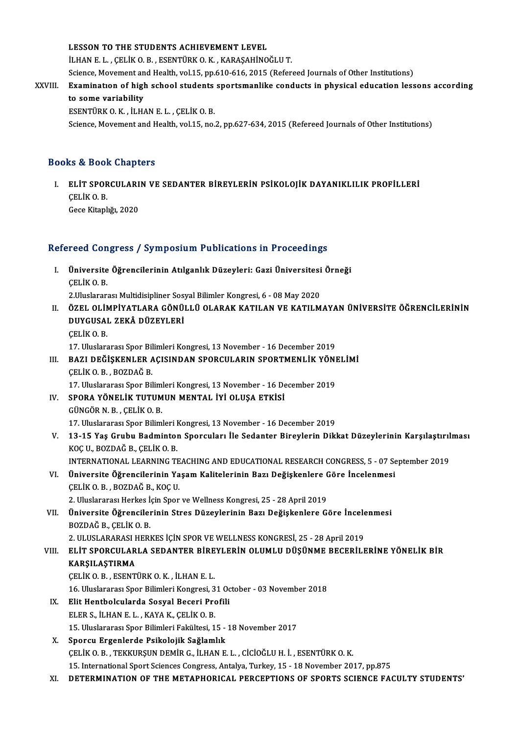#### LESSON TO THE STUDENTS ACHIEVEMENT LEVEL

İLHANE.L. ,ÇELİKO.B. ,ESENTÜRKO.K. ,KARAŞAHİNOĞLUT.

Science, Movement and Health, vol.15, pp.610-616, 2015 (Refereed Journals of Other Institutions)

## iLHAN E. L. , ÇELİK O. B. , ESENTÜRK O. K. , KARAŞAHİNOĞLU T.<br>Science, Movement and Health, vol.15, pp.610-616, 2015 (Refereed Journals of Other Institutions)<br>XXVIII. Examination of high school students sportsmanlike condu Science, Movement an<br>Examination of high<br>to some variability<br>ESENTÜREO K it H Examination of high school students<br>to some variability<br>ESENTÜRK O.K., İLHAN E.L., ÇELİK O.B.<br>Science Meyement and Health vel 15 ne.

to some variability<br>ESENTÜRK O. K. , İLHAN E. L. , ÇELİK O. B.<br>Science, Movement and Health, vol.15, no.2, pp.627-634, 2015 (Refereed Journals of Other Institutions)

### Books&Book Chapters

OOks & Book Chapters<br>I. ELİT SPORCULARIN VE SEDANTER BİREYLERİN PSİKOLOJİK DAYANIKLILIK PROFİLLERİ<br>CELİKO B ELİT SPOR<br>ÇELİK O.B.<br>Çeçe Kitarl ELİT SPORCULARI<br>ÇELİK O. B.<br>Gece Kitaplığı, 2020

# Gece Kitaplığı, 2020<br>Refereed Congress / Symposium Publications in Proceedings

- efereed Congress / Symposium Publications in Proceedings<br>I. Üniversite Öğrencilerinin Atılganlık Düzeyleri: Gazi Üniversitesi Örneği<br>CELİKO B Teca com<br>Üniversite<br>ÇELİK O. B.<br>2 Uluslarar: Üniversite Öğrencilerinin Atılganlık Düzeyleri: Gazi Üniversitesi<br>ÇELİK O. B.<br>2.Uluslararası Multidisipliner Sosyal Bilimler Kongresi, 6 - 08 May 2020<br>ÖZEL OLİMBİYATLARA CÖNÜLLÜ OLARAK KATILAN VE KATILM 2. Uluslararası Multidisipliner Sosyal Bilimler Kongresi, 6 - 08 May 2020
- ÇELİK O. B.<br>2.Uluslararası Multidisipliner Sosyal Bilimler Kongresi, 6 08 May 2020<br>II. ÖZEL OLİMPİYATLARA GÖNÜLLÜ OLARAK KATILAN VE KATILMAYAN ÜNİVERSİTE ÖĞRENCİLERİNİN<br>DIIYGUSAL ZEKÂ DÜZEYLERİ ÇELİKO.B. DUYGUSAL ZEKÂ DÜZEYLERİ<br>ÇELİK O. B.<br>17. Uluslararası Spor Bilimleri Kongresi, 13 November - 16 December 2019<br>RAZI DEĞİSKENLER ACISINDAN SPORCULARIN SPORTMENLİK YÖNI

## III. BAZI DEĞİŞKENLER AÇISINDAN SPORCULARIN SPORTMENLİK YÖNELİMİ<br>CELİK O. B., BOZDAĞ B. 17. Uluslararası Spor Bil<br>**BAZI DEĞİŞKENLER A<br>ÇELİK O.B. , BOZDAĞ B.**<br>17. Uluslararası Spor Bil BAZI DEĞİŞKENLER AÇISINDAN SPORCULARIN SPORTMENLİK YÖNI<br>ÇELİK O. B. , BOZDAĞ B.<br>17. Uluslararası Spor Bilimleri Kongresi, 13 November - 16 December 2019<br>SPOPA YÖNELİK TUTUMUN MENTAL İYL OLUSA ETKİSİ CELİK O. B. , BOZDAĞ B.<br>17. Uluslararası Spor Bilimleri Kongresi, 13 November - 16 De<br>IV. SPORA YÖNELİK TUTUMUN MENTAL İYİ OLUŞA ETKİSİ

- 17. Uluslararası Spor Bilim<br>SPORA YÖNELİK TUTUM<br>GÜNGÖR N. B. , ÇELİK O. B.<br>17. Uluslararası Spor Bilim SPORA YÖNELİK TUTUMUN MENTAL İYİ OLUŞA ETKİSİ<br>GÜNGÖR N. B. , ÇELİK O. B.<br>17. Uluslararası Spor Bilimleri Kongresi, 13 November - 16 December 2019<br>13. 15. Yas Guubu Badmintan Spansuları İla Sadantan Binavlarin Dikl
- GÜNGÖR N. B. , ÇELİK O. B.<br>17. Uluslararası Spor Bilimleri Kongresi, 13 November 16 December 2019<br>13-15 Yaş Grubu Badminton Sporcuları İle Sedanter Bireylerin Dikkat Düzeylerinin Karşılaştırılması<br>1905 B. Q. BOZDAĞ B. CE 17. Uluslararası Spor Bilimleri I<br>13-15 Yaş Grubu Badmintol<br>KOÇ U., BOZDAĞ B., ÇELİK O. B.<br>INTERNATIONAL LEARNING TI 13-15 Yaş Grubu Badminton Sporcuları İle Sedanter Bireylerin Dikkat Düzeylerinin Karşılaştırıl<br>KOÇ U., BOZDAĞ B., ÇELİK O. B.<br>INTERNATIONAL LEARNING TEACHING AND EDUCATIONAL RESEARCH CONGRESS, 5 - 07 September 2019<br>Ünivers
	-
- KOÇ U., BOZDAĞ B., ÇELİK O. B.<br>INTERNATIONAL LEARNING TEACHING AND EDUCATIONAL RESEARCH CONGRESS, 5 07 Se<br>VI. Üniversite Öğrencilerinin Yaşam Kalitelerinin Bazı Değişkenlere Göre İncelenmesi<br>CELİK O. B. BOZDAĞ B. KOÇ U INTERNATIONAL LEARNING TE<br>Üniversite Öğrencilerinin Ya<br>ÇELİK O.B., BOZDAĞ B., KOÇ U. Üniversite Öğrencilerinin Yaşam Kalitelerinin Bazı Değişkenlere (<br>ÇELİK O. B. , BOZDAĞ B., KOÇ U.<br>2. Uluslararası Herkes İçin Spor ve Wellness Kongresi, 25 - 28 April 2019<br>Üniversite Öğrensilerinin Stres Düseylerinin Bazı

ÇELİK O. B. , BOZDAĞ B., KOÇ U.<br>2. Uluslararası Herkes İçin Spor ve Wellness Kongresi, 25 - 28 April 2019<br>VII. Üniversite Öğrencilerinin Stres Düzeylerinin Bazı Değişkenlere Göre İncelenmesi<br>ROZDAĞ B. CELİK O. B 2. Uluslararası Herkes İ<br>Üniversite Öğrencileı<br>BOZDAĞ B., ÇELİK O. B.<br>2. III IISLARARASI HERI Üniversite Öğrencilerinin Stres Düzeylerinin Bazı Değişkenlere Göre İncele<br>BOZDAĞ B., ÇELİK O. B.<br>2. ULUSLARARASI HERKES İÇİN SPOR VE WELLNESS KONGRESİ, 25 - 28 April 2019<br>ELİT SPORCULARLA SEDANTER RİREVLERİN OLUMLU DÜSÜNM

2. ULUSLARARASI HERKES İÇİN SPOR VE WELLNESS KONGRESİ, 25 - 28 April 2019

# BOZDAĞ B., ÇELİK O. B.<br>2. ULUSLARARASI HERKES İÇİN SPOR VE WELLNESS KONGRESİ, 25 - 28 April 2019<br>VIII. ELİT SPORCULARLA SEDANTER BİREYLERİN OLUMLU DÜŞÜNME BECERİLERİNE YÖNELİK BİR<br>KARŞILAŞTIRMA ÇELİKO.B. ,ESENTÜRKO.K. , İLHANE.L. 16. Uluslararası Spor Bilimleri Kongresi, 31 October - 03 November 2018

IX. Elit Hentbolcularda Sosyal Beceri Profili ELERS., İLHANE.L. ,KAYAK.,ÇELİKO.B. 15. Uluslararası Spor Bilimleri Fakültesi, 15 - 18 November 2017

## X. Sporcu Ergenlerde Psikolojik Sağlamlık ÇELİKO.B. ,TEKKURŞUNDEMİRG., İLHANE.L. ,CİCİOĞLUH. İ. ,ESENTÜRKO.K. 15. InternationalSportSciencesCongress,Antalya,Turkey,15 -18November 2017,pp.875

XI. DETERMINATION OF THEMETAPHORICAL PERCEPTIONS OF SPORTS SCIENCE FACULTY STUDENTS'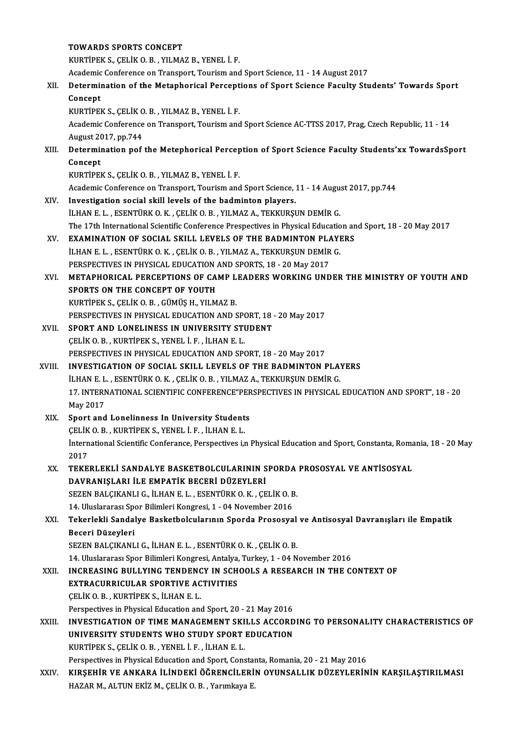#### TOWARDS SPORTS CONCEPT

KURTİPEKS.,ÇELİKO.B. ,YILMAZB.,YENEL İ.F.

Academic Conference on Transport, Tourism and Sport Science, 11 - 14 August 2017

## KURTİPEK S., ÇELİK O. B. , YILMAZ B., YENEL İ. F.<br>Academic Conference on Transport, Tourism and Sport Science, 11 - 14 August 2017<br>XII. Determination of the Metaphorical Perceptions of Sport Science Faculty Students' T Academic<br>Determii<br>Concept<br>EURTIPEI Determination of the Metaphorical Percept<br>Concept<br>KURTİPEK S., ÇELİK O.B. , YILMAZ B., YENEL İ.F.<br>Academis Conference en Transport Tourism and

KURTİPEK S., ÇELİK O. B., YILMAZ B., YENEL İ. F.

Concept<br>KURTİPEK S., ÇELİK O. B. , YILMAZ B., YENEL İ. F.<br>Academic Conference on Transport, Tourism and Sport Science AC-TTSS 2017, Prag, Czech Republic, 11 - 14<br>August 2017, pp.744 Academic Conference on Transport, Tourism and Sport Science AC-TTSS 2017, Prag, Czech Republic, 11 - 14<br>August 2017, pp.744<br>XIII. Determination pof the Metephorical Perception of Sport Science Faculty Students'xx TowardsSp

## August 20<br>Determi<br>Concept<br>EURTIPEL Determination pof the Metephorical Percep<br>Concept<br>KURTİPEK S., ÇELİK O.B. , YILMAZ B., YENEL İ.F.<br>Asademis Conference en Transport Tourism and Concept<br>KURTİPEK S., ÇELİK O. B. , YILMAZ B., YENEL İ. F.<br>Academic Conference on Transport, Tourism and Sport Science, 11 - 14 August 2017, pp.744

- XIV. Investigation social skil levels of the badminton players. İLHAN E.L., ESENTÜRKO.K., ÇELİKO.B., YILMAZ A., TEKKURŞUN DEMİR G. Investigation social skill levels of the badminton players.<br>İLHAN E. L. , ESENTÜRK O. K. , ÇELİK O. B. , YILMAZ A., TEKKURŞUN DEMİR G.<br>The 17th International Scientific Conference Prespectives in Physical Education and Spo ILHAN E. L., ESENTÜRK O. K., ÇELİK O. B., YILMAZ A., TEKKURŞUN DEMİR G.<br>The 17th International Scientific Conference Prespectives in Physical Education an<br>XV. EXAMINATION OF SOCIAL SKILL LEVELS OF THE BADMINTON PLAYERS<br>ILH
- The 17th International Scientific Conference Prespectives in Physical Education<br>**EXAMINATION OF SOCIAL SKILL LEVELS OF THE BADMINTON PLAYI**<br>İLHAN E. L. , ESENTÜRK O. K. , ÇELİK O. B. , YILMAZ A., TEKKURŞUN DEMİR G.<br>PERSPEC XV. EXAMINATION OF SOCIAL SKILL LEVELS OF THE BADMINTON PLAYERS<br>
ILHAN E. L., ESENTÜRK O. K., ÇELIK O. B., YILMAZ A., TEKKURŞUN DEMIR G.<br>
PERSPECTIVES IN PHYSICAL EDUCATION AND SPORTS. 18 - 20 Mav 2017
- XVI. METAPHORICAL PERCEPTIONS OF CAMP LEADERSWORKING UNDER THEMINISTRY OF YOUTH AND SPORTS ON THE CONCEPT OF YOUTH KURTİPEK S., ÇELİK O. B. , GÜMÜS H., YILMAZ B.

PERSPECTIVES IN PHYSICAL EDUCATION AND SPORT, 18 - 20 May 2017

- KURTIPEK S., ÇELİK O. B., GÜMÜŞ H., YILMAZ B.<br>PERSPECTIVES IN PHYSICAL EDUCATION AND SPORT, 18<br>XVII. SPORT AND LONELINESS IN UNIVERSITY STUDENT PERSPECTIVES IN PHYSICAL EDUCATION AND SP<br>SPORT AND LONELINESS IN UNIVERSITY STI<br>ÇELİK O.B. , KURTİPEK S., YENEL İ. F. , İLHAN E. L.<br>PERSPECTIVES IN PHYSICAL EDUCATION AND SP CELIK O. B. , KURTIPEK S., YENEL I. F. , ILHAN E. L.<br>PERSPECTIVES IN PHYSICAL EDUCATION AND SPORT, 18 - 20 May 2017 CELIK O. B., KURTIPEK S., YENEL I. F., ILHAN E. L.<br>PERSPECTIVES IN PHYSICAL EDUCATION AND SPORT, 18 - 20 May 2017<br>XVIII. INVESTIGATION OF SOCIAL SKILL LEVELS OF THE BADMINTON PLAYERS<br>ILHANE L., ESENTIPK O. K., CELIK O. P.,
- PERSPECTIVES IN PHYSICAL EDUCATION AND SPORT, 18 20 May 2017<br>**INVESTIGATION OF SOCIAL SKILL LEVELS OF THE BADMINTON PLA**<br>İLHAN E. L. , ESENTÜRK O. K. , ÇELİK O. B. , YILMAZ A., TEKKURŞUN DEMİR G.<br>17 INTERNATIONAL SCIENTI INVESTIGATION OF SOCIAL SKILL LEVELS OF THE BADMINTON PLAYERS<br>İLHAN E. L. , ESENTÜRK O. K. , ÇELİK O. B. , YILMAZ A., TEKKURŞUN DEMİR G.<br>17. INTERNATIONAL SCIENTIFIC CONFERENCE"PERSPECTIVES IN PHYSICAL EDUCATION AND SPORT" **ILHAN E. L<br>17. INTERN<br>May 2017<br>Sport and** 17. INTERNATIONAL SCIENTIFIC CONFERENCE"PER<br>May 2017<br>XIX. Sport and Lonelinness In University Students<br>CELIVO B - VURTIBEV S, VENEL LE - U HAN E L
- May 2017<br>XIX. Sport and Lonelinness In University Students<br>CELIK O.B., KURTIPEK S., YENEL İ.F., İLHAN E.L. Sport and Lonelinness In University Students<br>ÇELİK O. B. , KURTİPEK S., YENEL İ. F. , İLHAN E. L.<br>İnternational Scientific Conferance, Perspectives i,n Physical Education and Sport, Constanta, Romania, 18 - 20 May<br>2017 CELIK<br>İntern<br>2017<br>TEKE International Scientific Conferance, Perspectives i,n Physical Education and Sport, Constanta, Roma<br>2017<br>XX. TEKERLEKLİ SANDALYE BASKETBOLCULARININ SPORDA PROSOSYAL VE ANTİSOSYAL<br>DAVPANISLARLİ E EMPATİK BECERI DÜZEVLERİ

## 2017<br>XX. TEKERLEKLI SANDALYE BASKETBOLCULARININ SPORDA PROSOSYAL VE ANTISOSYAL<br>DAVRANIŞLARI İLE EMPATİK BECERİ DÜZEYLERİ TEKERLEKLI SANDALYE BASKETBOLCULARININ SPORDA<br>DAVRANIŞLARI İLE EMPATİK BECERİ DÜZEYLERİ<br>SEZEN BALÇIKANLI G., İLHAN E. L. , ESENTÜRK O. K. , ÇELİK O. B.<br>14 Hivelerarea Spor Bilimleri Karayesi 1 - 04 Nevember 2016 DAVRANIŞLARI İLE EMPATİK BECERİ DÜZEYLERİ<br>SEZEN BALÇIKANLI G., İLHAN E. L. , ESENTÜRK O. K. , ÇELİK O. B<br>14. Uluslararası Spor Bilimleri Kongresi, 1 - 04 November 2016<br>Tekerlekli Sandalya Baskatbalcularının Sporda Brososya

## SEZEN BALÇIKANLI G., İLHAN E. L. , ESENTÜRK O. K. , ÇELİK O. B.<br>14. Uluslararası Spor Bilimleri Kongresi, 1 - 04 November 2016<br>XXI. Tekerlekli Sandalye Basketbolcularının Sporda Prososyal ve Antisosyal Davranışları ile 14. Uluslararası Spo<br><mark>Tekerlekli Sandal</mark><br>Beceri Düzeyleri<br>SEZEN BALCIKANI Tekerlekli Sandalye Basketbolcularının Sporda Prososyal<br>Beceri Düzeyleri<br>SEZEN BALÇIKANLI G., İLHAN E. L. , ESENTÜRK O. K. , ÇELİK O. B.<br>14 Huslararası Spor Bilimleri Kongresi, Antalya Turkey 1, 04 N Beceri Düzeyleri<br>SEZEN BALÇIKANLI G., İLHAN E. L. , ESENTÜRK O. K. , ÇELİK O. B.<br>14. Uluslararası Spor Bilimleri Kongresi, Antalya, Turkey, 1 - 04 November 2016<br>INCREASINC RIJLI VINC TENDENCY IN SCHOOLS A RESEARCH IN THE C

SEZEN BALÇIKANLI G., İLHAN E. L. , ESENTÜRK O. K. , ÇELİK O. B.<br>14. Uluslararası Spor Bilimleri Kongresi, Antalya, Turkey, 1 - 04 November 2016<br>XXII. INCREASING BULLYING TENDENCY IN SCHOOLS A RESEARCH IN THE CONTEXT OF<br>EXT 14. Uluslararası Spor Bilimleri Kongresi, Antalya,<br>INCREASING BULLYING TENDENCY IN SCH<br>EXTRACURRICULAR SPORTIVE ACTIVITIES<br>CELIKO BULURTIPEKS İLHANE L ÇELİKO.B. ,KURTİPEKS., İLHANE.L. Perspectives in Physical Education and Sport, 20 - 21 May 2016 XXIII. INVESTIGATION OF TIME MANAGEMENT SKILLS ACCORDING TO PERSONALITY CHARACTERISTICS OF Perspectives in Physical Education and Sport, 20 - 21 May 2016<br>INVESTIGATION OF TIME MANAGEMENT SKILLS ACCORD<br>UNIVERSITY STUDENTS WHO STUDY SPORT EDUCATION

INVESTIGATION OF TIME MANAGEMENT SKI<br>UNIVERSITY STUDENTS WHO STUDY SPORT<br>KURTİPEK S., ÇELİK O.B. , YENEL İ. F. , İLHAN E. L.<br>Perspectives in Physical Education and Sport Cons

KURTIPEK S., ÇELIK O. B. , YENEL I. F. , İLHAN E. L.<br>Perspectives in Physical Education and Sport, Constanta, Romania, 20 - 21 May 2016

XXIV. KIRŞEHİR VE ANKARA İLİNDEKİ ÖĞRENCİLERİN OYUNSALLIK DÜZEYLERİNİN KARŞILAŞTIRILMASI HAZAR M., ALTUN EKİZ M., ÇELİK O.B., Yarımkaya E.